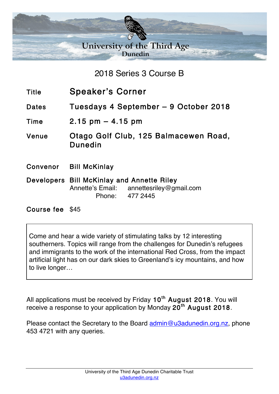

2018 Series 3 Course B

- Title Speaker's Corner
- Dates Tuesdays 4 September 9 October 2018
- Time 2.15 pm 4.15 pm
- Venue Otago Golf Club, 125 Balmacewen Road, Dunedin
- Convenor Bill McKinlay
- Developers Bill McKinlay and Annette Riley Annette's Email: annettesriley@gmail.com Phone: 477 2445

Course fee \$45

Come and hear a wide variety of stimulating talks by 12 interesting southerners. Topics will range from the challenges for Dunedin's refugees and immigrants to the work of the international Red Cross, from the impact artificial light has on our dark skies to Greenland's icy mountains, and how to live longer…

All applications must be received by Friday  $10<sup>th</sup>$  August 2018. You will receive a response to your application by Monday  $20^{th}$  August 2018.

Please contact the Secretary to the Board admin@u3adunedin.org.nz, phone 453 4721 with any queries.